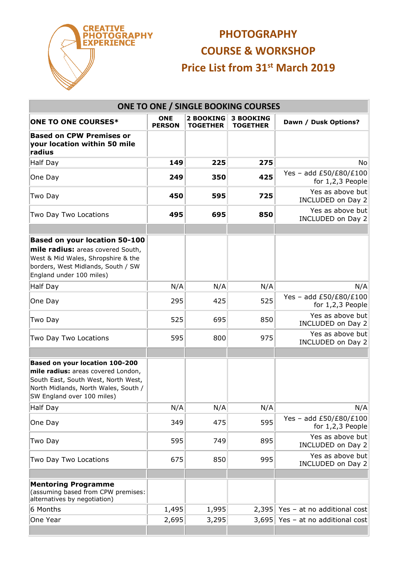

## **PHOTOGRAPHY COURSE & WORKSHOP Price List from 31st March 2019**

| <b>ONE TO ONE / SINGLE BOOKING COURSES</b>                                                                                                                                        |                             |                                     |                                     |                                              |  |  |  |  |
|-----------------------------------------------------------------------------------------------------------------------------------------------------------------------------------|-----------------------------|-------------------------------------|-------------------------------------|----------------------------------------------|--|--|--|--|
| <b>ONE TO ONE COURSES*</b>                                                                                                                                                        | <b>ONE</b><br><b>PERSON</b> | <b>2 BOOKING</b><br><b>TOGETHER</b> | <b>3 BOOKING</b><br><b>TOGETHER</b> | Dawn / Dusk Options?                         |  |  |  |  |
| <b>Based on CPW Premises or</b><br>your location within 50 mile<br>radius                                                                                                         |                             |                                     |                                     |                                              |  |  |  |  |
| Half Day                                                                                                                                                                          | 149                         | 225                                 | 275                                 | No.                                          |  |  |  |  |
| One Day                                                                                                                                                                           | 249                         | 350                                 | 425                                 | Yes - add £50/£80/£100<br>for $1,2,3$ People |  |  |  |  |
| Two Day                                                                                                                                                                           | 450                         | 595                                 | 725                                 | Yes as above but<br>INCLUDED on Day 2        |  |  |  |  |
| Two Day Two Locations                                                                                                                                                             | 495                         | 695                                 | 850                                 | Yes as above but<br>INCLUDED on Day 2        |  |  |  |  |
|                                                                                                                                                                                   |                             |                                     |                                     |                                              |  |  |  |  |
| <b>Based on your location 50-100</b><br>mile radius: areas covered South,<br>West & Mid Wales, Shropshire & the<br>borders, West Midlands, South / SW<br>England under 100 miles) |                             |                                     |                                     |                                              |  |  |  |  |
| <b>Half Day</b>                                                                                                                                                                   | N/A                         | N/A                                 | N/A                                 | N/A                                          |  |  |  |  |
| One Day                                                                                                                                                                           | 295                         | 425                                 | 525                                 | Yes - add £50/£80/£100<br>for $1,2,3$ People |  |  |  |  |
| Two Day                                                                                                                                                                           | 525                         | 695                                 | 850                                 | Yes as above but<br>INCLUDED on Day 2        |  |  |  |  |
| Two Day Two Locations                                                                                                                                                             | 595                         | 800                                 | 975                                 | Yes as above but<br>INCLUDED on Day 2        |  |  |  |  |
| Based on your location 100-200<br>mile radius: areas covered London,<br>South East, South West, North West,<br>North Midlands, North Wales, South /<br>SW England over 100 miles) |                             |                                     |                                     |                                              |  |  |  |  |
| <b>Half Day</b>                                                                                                                                                                   | N/A                         | N/A                                 | N/A                                 | N/A                                          |  |  |  |  |
| One Day                                                                                                                                                                           | 349                         | 475                                 | 595                                 | Yes - add £50/£80/£100<br>for $1,2,3$ People |  |  |  |  |
| Two Day                                                                                                                                                                           | 595                         | 749                                 | 895                                 | Yes as above but<br>INCLUDED on Day 2        |  |  |  |  |
| Two Day Two Locations                                                                                                                                                             | 675                         | 850                                 | 995                                 | Yes as above but<br>INCLUDED on Day 2        |  |  |  |  |
|                                                                                                                                                                                   |                             |                                     |                                     |                                              |  |  |  |  |
| <b>Mentoring Programme</b><br>(assuming based from CPW premises:<br>alternatives by negotiation)                                                                                  |                             |                                     |                                     |                                              |  |  |  |  |
| 6 Months                                                                                                                                                                          | 1,495                       | 1,995                               | 2,395                               | Yes - at no additional cost                  |  |  |  |  |
| One Year                                                                                                                                                                          | 2,695                       | 3,295                               | 3,695                               | Yes - at no additional cost                  |  |  |  |  |